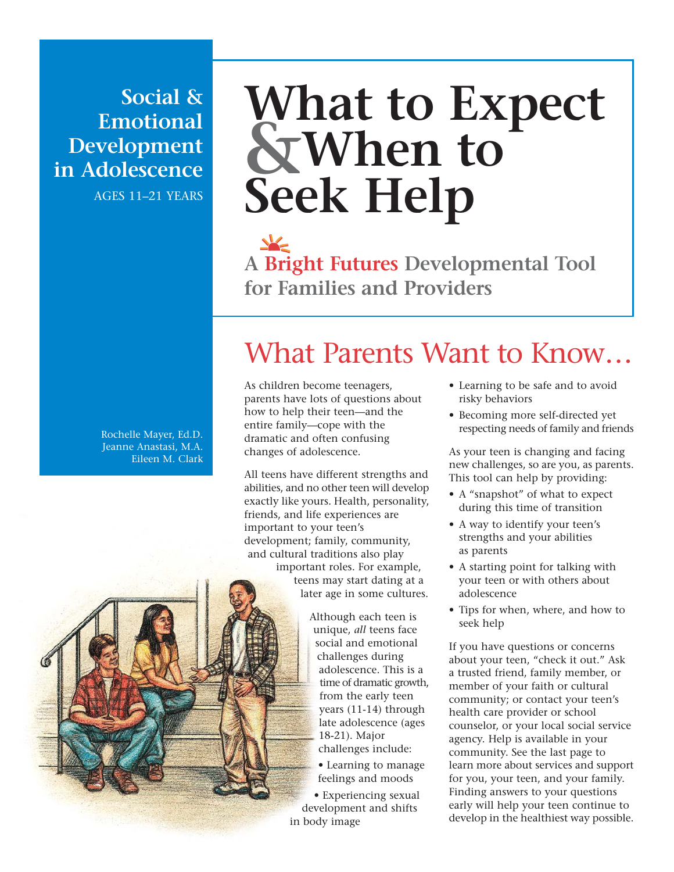**Social & Emotional Development in Adolescence**

AGES 11–21 YEARS

# **What to Expect &When to Seek Help**

**A Bright Futures Developmental Tool for Families and Providers**

#### Rochelle Mayer, Ed.D. Jeanne Anastasi, M.A. Eileen M. Clark

## What Parents Want to Know…

As children become teenagers, parents have lots of questions about how to help their teen—and the entire family—cope with the dramatic and often confusing changes of adolescence.

All teens have different strengths and abilities, and no other teen will develop exactly like yours. Health, personality, friends, and life experiences are important to your teen's development; family, community, and cultural traditions also play important roles. For example, teens may start dating at a later age in some cultures.

> Although each teen is unique, *all* teens face social and emotional challenges during adolescence. This is a time of dramatic growth, from the early teen years (11-14) through late adolescence (ages 18-21). Major challenges include:

• Learning to manage feelings and moods

• Experiencing sexual development and shifts in body image

- Learning to be safe and to avoid risky behaviors
- Becoming more self-directed yet respecting needs of family and friends

As your teen is changing and facing new challenges, so are you, as parents. This tool can help by providing:

- A "snapshot" of what to expect during this time of transition
- A way to identify your teen's strengths and your abilities as parents
- A starting point for talking with your teen or with others about adolescence
- Tips for when, where, and how to seek help

If you have questions or concerns about your teen, "check it out." Ask a trusted friend, family member, or member of your faith or cultural community; or contact your teen's health care provider or school counselor, or your local social service agency. Help is available in your community. See the last page to learn more about services and support for you, your teen, and your family. Finding answers to your questions early will help your teen continue to develop in the healthiest way possible.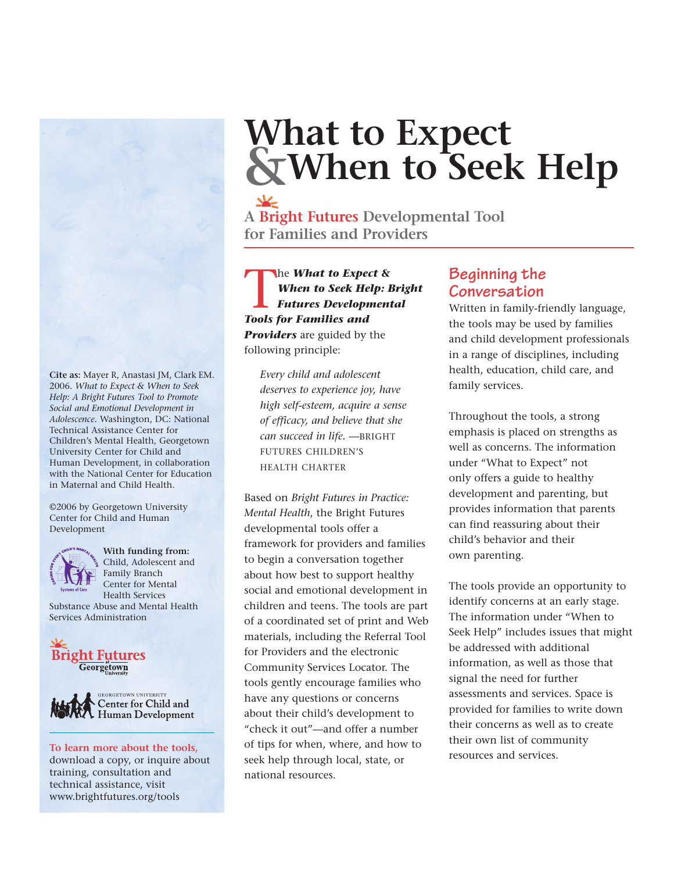# **What to Expect &When to Seek Help**

**A Bright Futures Developmental Tool for Families and Providers**

The *What to Expect &*<br>When to Seek Help: E<br>Futures Development<br>Tools for Families and *When to Seek Help: Bright Futures Developmental Tools for Families and Providers* are guided by the following principle:

*Every child and adolescent deserves to experience joy, have high self-esteem, acquire a sense of efficacy, and believe that she can succeed in life.* —BRIGHT FUTURES CHILDREN'S HEALTH CHARTER

Based on *Bright Futures in Practice: Mental Health*, the Bright Futures developmental tools offer a framework for providers and families to begin a conversation together about how best to support healthy social and emotional development in children and teens. The tools are part of a coordinated set of print and Web materials, including the Referral Tool for Providers and the electronic Community Services Locator. The tools gently encourage families who have any questions or concerns about their child's development to "check it out"—and offer a number of tips for when, where, and how to seek help through local, state, or national resources. To learn more about the tools, of tips for when, where, and now to the services and services.

## **Beginning the Conversation**

Written in family-friendly language, the tools may be used by families and child development professionals in a range of disciplines, including health, education, child care, and family services.

Throughout the tools, a strong emphasis is placed on strengths as well as concerns. The information under "What to Expect" not only offers a guide to healthy development and parenting, but provides information that parents can find reassuring about their child's behavior and their own parenting.

The tools provide an opportunity to identify concerns at an early stage. The information under "When to Seek Help" includes issues that might be addressed with additional information, as well as those that signal the need for further assessments and services. Space is provided for families to write down their concerns as well as to create their own list of community

**Cite as:** Mayer R, Anastasi JM, Clark EM. 2006. *What to Expect & When to Seek Help: A Bright Futures Tool to Promote Social and Emotional Development in Adolescence*. Washington, DC: National Technical Assistance Center for Children's Mental Health, Georgetown University Center for Child and Human Development, in collaboration with the National Center for Education in Maternal and Child Health.

©2006 by Georgetown University Center for Child and Human Development



**With funding from:** Child, Adolescent and Family Branch Center for Mental Health Services

Substance Abuse and Mental Health Services Administration





download a copy, or inquire about training, consultation and technical assistance, visit www.brightfutures.org/tools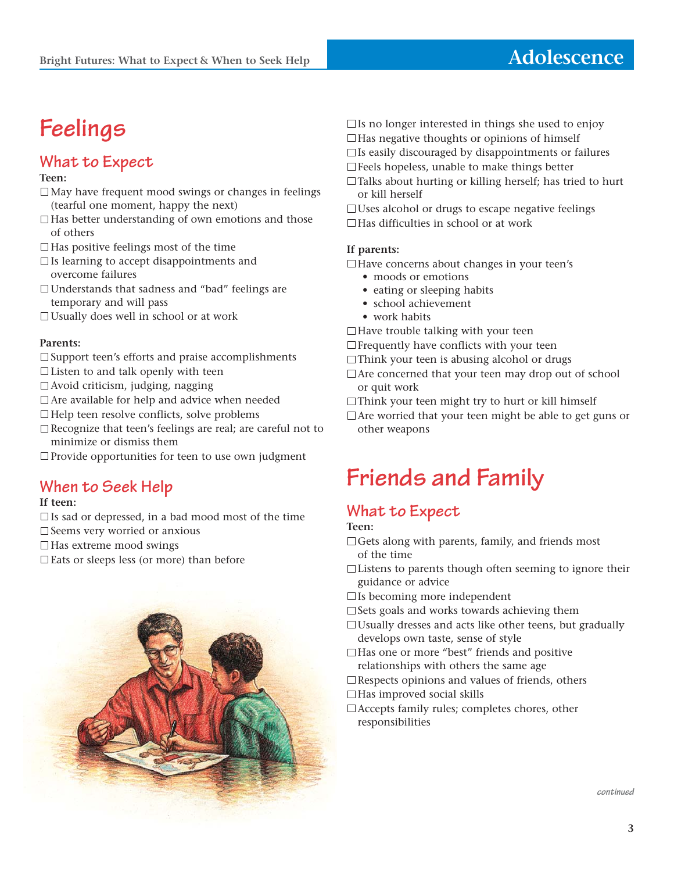## **Feelings**

## **What to Expect**

### **Teen:**

- $\Box$  May have frequent mood swings or changes in feelings (tearful one moment, happy the next)
- $\Box$  Has better understanding of own emotions and those of others
- $\Box$  Has positive feelings most of the time
- $\Box$  Is learning to accept disappointments and overcome failures
- Understands that sadness and "bad" feelings are temporary and will pass
- $\Box$  Usually does well in school or at work

### **Parents:**

- $\square$  Support teen's efforts and praise accomplishments
- $\Box$  Listen to and talk openly with teen
- $\Box$  Avoid criticism, judging, nagging
- Are available for help and advice when needed
- $\Box$  Help teen resolve conflicts, solve problems
- Recognize that teen's feelings are real; are careful not to minimize or dismiss them

 $\Box$  Provide opportunities for teen to use own judgment

## **When to Seek Help**

### **If teen:**

- $\Box$  Is sad or depressed, in a bad mood most of the time
- $\square$  Seems very worried or anxious
- $\Box$  Has extreme mood swings
- $\square$  Eats or sleeps less (or more) than before



- $\square$  Is no longer interested in things she used to enjoy
- $\Box$  Has negative thoughts or opinions of himself
- $\Box$  Is easily discouraged by disappointments or failures
- $\square$  Feels hopeless, unable to make things better
- Talks about hurting or killing herself; has tried to hurt or kill herself
- $\Box$  Uses alcohol or drugs to escape negative feelings
- □Has difficulties in school or at work

### **If parents:**

- $\Box$  Have concerns about changes in your teen's
	- moods or emotions
	- eating or sleeping habits
	- school achievement
	- work habits
- $\Box$  Have trouble talking with your teen
- $\Box$  Frequently have conflicts with your teen
- $\Box$ Think your teen is abusing alcohol or drugs
- Are concerned that your teen may drop out of school or quit work
- $\Box$ Think your teen might try to hurt or kill himself
- $\Box$  Are worried that your teen might be able to get guns or other weapons

## **Friends and Family**

## **What to Expect**

**Teen:**

- $\Box$  Gets along with parents, family, and friends most of the time
- $\Box$  Listens to parents though often seeming to ignore their guidance or advice
- $\square$  Is becoming more independent
- $\square$  Sets goals and works towards achieving them
- $\Box$  Usually dresses and acts like other teens, but gradually develops own taste, sense of style
- $\Box$  Has one or more "best" friends and positive relationships with others the same age
- $\square$  Respects opinions and values of friends, others
- $\Box$  Has improved social skills
- Accepts family rules; completes chores, other responsibilities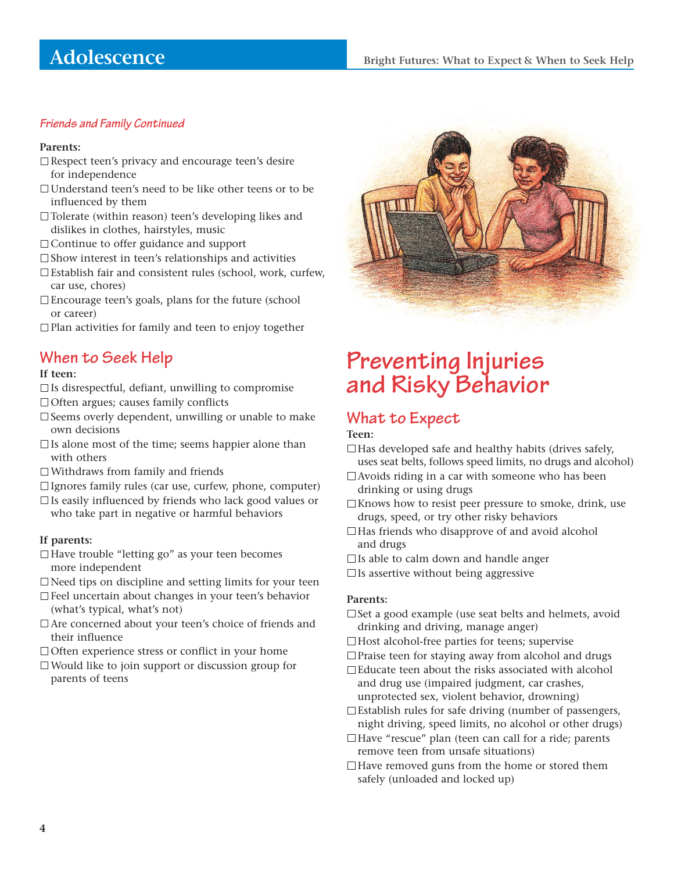### **Friends and Family Continued**

#### **Parents:**

- $\square$  Respect teen's privacy and encourage teen's desire for independence
- Understand teen's need to be like other teens or to be influenced by them
- □Tolerate (within reason) teen's developing likes and dislikes in clothes, hairstyles, music
- □ Continue to offer guidance and support
- $\square$  Show interest in teen's relationships and activities
- Establish fair and consistent rules (school, work, curfew, car use, chores)
- Encourage teen's goals, plans for the future (school or career)
- $\Box$  Plan activities for family and teen to enjoy together

## **When to Seek Help**

### **If teen:**

- $\Box$  Is disrespectful, defiant, unwilling to compromise
- $\Box$  Often argues; causes family conflicts
- $\square$  Seems overly dependent, unwilling or unable to make own decisions
- $\Box$  Is alone most of the time; seems happier alone than with others
- Withdraws from family and friends
- $\Box$  Ignores family rules (car use, curfew, phone, computer)
- $\Box$  Is easily influenced by friends who lack good values or who take part in negative or harmful behaviors

### **If parents:**

- $\Box$  Have trouble "letting go" as your teen becomes more independent
- Need tips on discipline and setting limits for your teen
- Feel uncertain about changes in your teen's behavior (what's typical, what's not)
- □ Are concerned about your teen's choice of friends and their influence
- $\Box$  Often experience stress or conflict in your home
- Would like to join support or discussion group for parents of teens



## **Preventing Injuries and Risky Behavior**

## **What to Expect**

#### **Teen:**

- $\Box$  Has developed safe and healthy habits (drives safely, uses seat belts, follows speed limits, no drugs and alcohol)
- $\Box$  Avoids riding in a car with someone who has been drinking or using drugs
- $\Box$  Knows how to resist peer pressure to smoke, drink, use drugs, speed, or try other risky behaviors
- $\Box$  Has friends who disapprove of and avoid alcohol and drugs
- $\Box$  Is able to calm down and handle anger
- $\square$  Is assertive without being aggressive

#### **Parents:**

- $\square$  Set a good example (use seat belts and helmets, avoid drinking and driving, manage anger)
- □Host alcohol-free parties for teens; supervise
- $\Box$  Praise teen for staying away from alcohol and drugs
- Educate teen about the risks associated with alcohol and drug use (impaired judgment, car crashes, unprotected sex, violent behavior, drowning)
- $\square$  Establish rules for safe driving (number of passengers, night driving, speed limits, no alcohol or other drugs)
- $\Box$  Have "rescue" plan (teen can call for a ride; parents remove teen from unsafe situations)
- $\Box$  Have removed guns from the home or stored them safely (unloaded and locked up)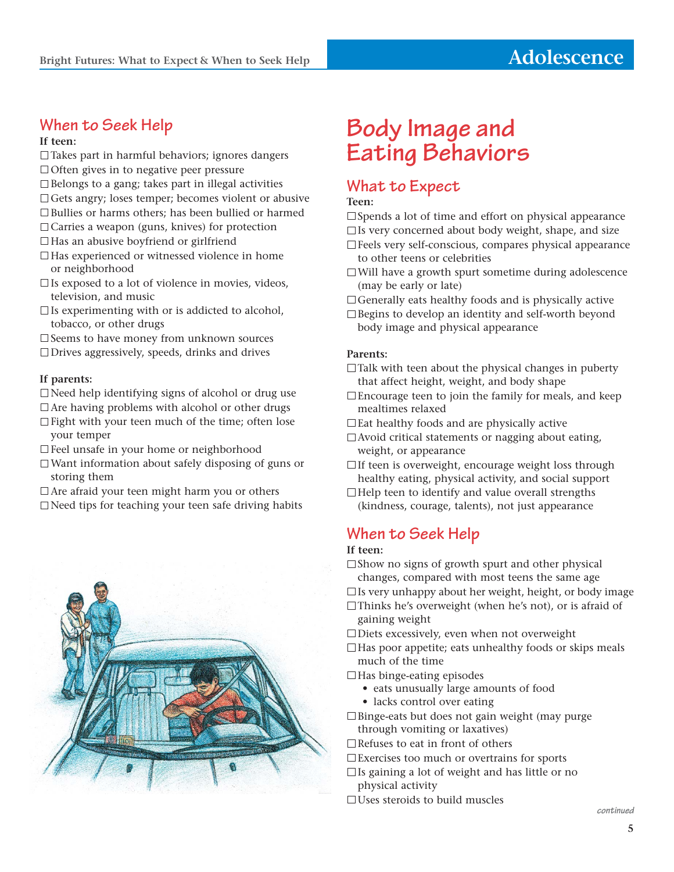## **When to Seek Help**

**If teen:**

- $\Box$  Takes part in harmful behaviors; ignores dangers
- $\Box$  Often gives in to negative peer pressure
- $\square$  Belongs to a gang; takes part in illegal activities
- $\Box$  Gets angry; loses temper; becomes violent or abusive
- □Bullies or harms others; has been bullied or harmed
- $\Box$  Carries a weapon (guns, knives) for protection
- $\Box$  Has an abusive boyfriend or girlfriend
- $\Box$  Has experienced or witnessed violence in home or neighborhood
- $\square$  Is exposed to a lot of violence in movies, videos, television, and music
- $\square$  Is experimenting with or is addicted to alcohol, tobacco, or other drugs
- □ Seems to have money from unknown sources
- $\Box$  Drives aggressively, speeds, drinks and drives

#### **If parents:**

- $\Box$ Need help identifying signs of alcohol or drug use
- $\Box$  Are having problems with alcohol or other drugs
- $\Box$  Fight with your teen much of the time; often lose your temper
- Feel unsafe in your home or neighborhood
- $\Box$  Want information about safely disposing of guns or storing them
- $\Box$  Are afraid your teen might harm you or others
- $\Box$  Need tips for teaching your teen safe driving habits



## **Body Image and Eating Behaviors**

## **What to Expect**

#### **Teen:**

 $\square$  Spends a lot of time and effort on physical appearance  $\square$  Is very concerned about body weight, shape, and size

- Feels very self-conscious, compares physical appearance to other teens or celebrities
- Will have a growth spurt sometime during adolescence (may be early or late)
- Generally eats healthy foods and is physically active
- $\square$  Begins to develop an identity and self-worth beyond body image and physical appearance

#### **Parents:**

- $\Box$  Talk with teen about the physical changes in puberty that affect height, weight, and body shape
- $\Box$  Encourage teen to join the family for meals, and keep mealtimes relaxed
- □ Eat healthy foods and are physically active
- $\Box$  Avoid critical statements or nagging about eating, weight, or appearance
- $\Box$  If teen is overweight, encourage weight loss through healthy eating, physical activity, and social support
- $\Box$  Help teen to identify and value overall strengths (kindness, courage, talents), not just appearance

## **When to Seek Help**

### **If teen:**

- $\square$  Show no signs of growth spurt and other physical changes, compared with most teens the same age
- $\Box$  Is very unhappy about her weight, height, or body image
- Thinks he's overweight (when he's not), or is afraid of gaining weight
- Diets excessively, even when not overweight

 $\Box$  Has poor appetite; eats unhealthy foods or skips meals much of the time

- $\Box$  Has binge-eating episodes
	- eats unusually large amounts of food
	- lacks control over eating
- $\Box$  Binge-eats but does not gain weight (may purge through vomiting or laxatives)
- $\Box$  Refuses to eat in front of others
- Exercises too much or overtrains for sports
- $\Box$  Is gaining a lot of weight and has little or no physical activity
- $\Box$  Uses steroids to build muscles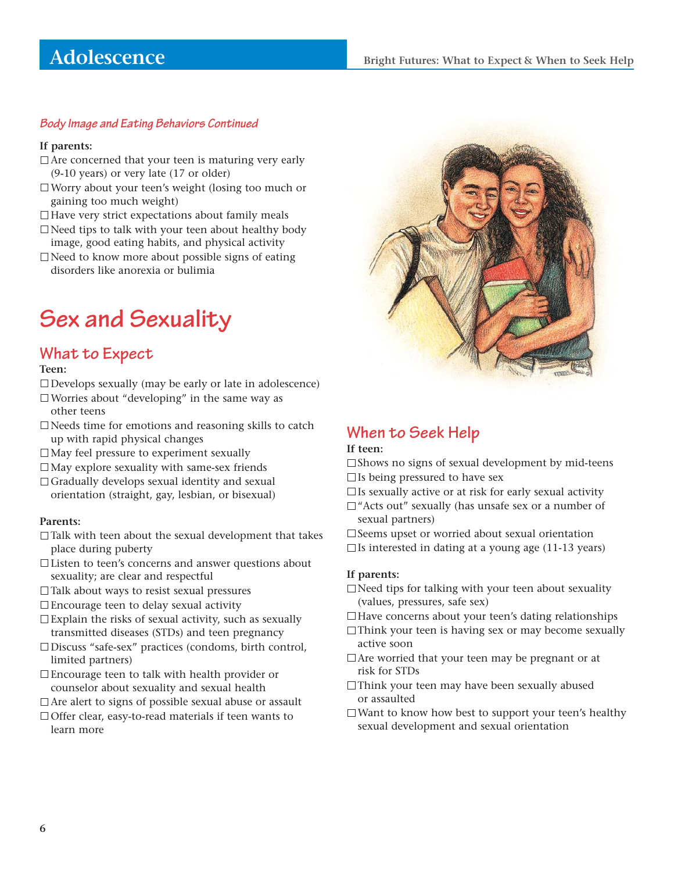## **Adolescence**

### **Body Image and Eating Behaviors Continued**

### **If parents:**

- $\Box$  Are concerned that your teen is maturing very early (9-10 years) or very late (17 or older)
- Worry about your teen's weight (losing too much or gaining too much weight)
- $\Box$  Have very strict expectations about family meals
- $\Box$  Need tips to talk with your teen about healthy body image, good eating habits, and physical activity
- $\Box$ Need to know more about possible signs of eating disorders like anorexia or bulimia

## **Sex and Sexuality**

### **What to Expect**

#### **Teen:**

- $\Box$ Develops sexually (may be early or late in adolescence)
- $\Box$  Worries about "developing" in the same way as other teens
- $\Box$  Needs time for emotions and reasoning skills to catch up with rapid physical changes
- May feel pressure to experiment sexually
- $\Box$ May explore sexuality with same-sex friends
- $\Box$  Gradually develops sexual identity and sexual orientation (straight, gay, lesbian, or bisexual)

#### **Parents:**

- $\Box$  Talk with teen about the sexual development that takes place during puberty
- Listen to teen's concerns and answer questions about sexuality; are clear and respectful
- $\Box$  Talk about ways to resist sexual pressures
- Encourage teen to delay sexual activity
- $\square$  Explain the risks of sexual activity, such as sexually transmitted diseases (STDs) and teen pregnancy
- Discuss "safe-sex" practices (condoms, birth control, limited partners)
- Encourage teen to talk with health provider or counselor about sexuality and sexual health
- Are alert to signs of possible sexual abuse or assault
- □ Offer clear, easy-to-read materials if teen wants to learn more



## **When to Seek Help**

#### **If teen:**

- $\square$  Shows no signs of sexual development by mid-teens  $\square$  Is being pressured to have sex
- $\square$  Is sexually active or at risk for early sexual activity
- $\Box$  "Acts out" sexually (has unsafe sex or a number of sexual partners)

 $\square$  Seems upset or worried about sexual orientation  $\Box$  Is interested in dating at a young age (11-13 years)

#### **If parents:**

- $\Box$ Need tips for talking with your teen about sexuality (values, pressures, safe sex)
- □Have concerns about your teen's dating relationships
- $\Box$ Think your teen is having sex or may become sexually active soon
- $\Box$  Are worried that your teen may be pregnant or at risk for STDs
- $\Box$ Think your teen may have been sexually abused or assaulted
- $\square$  Want to know how best to support your teen's healthy sexual development and sexual orientation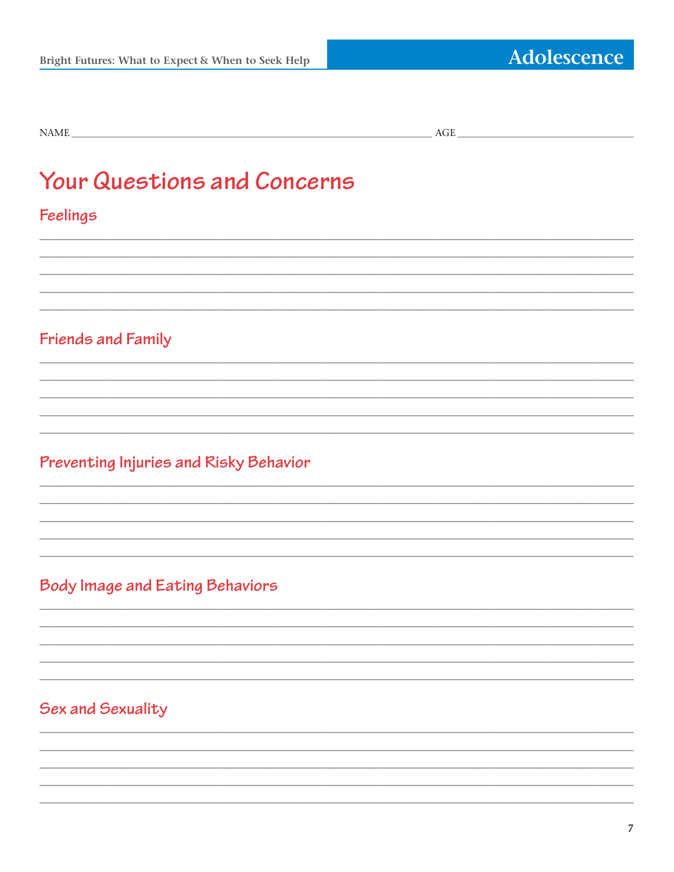## **Your Questions and Concerns**

## Feelings

## Friends and Family

## Preventing Injuries and Risky Behavior

## **Body Image and Eating Behaviors**

## Sex and Sexuality